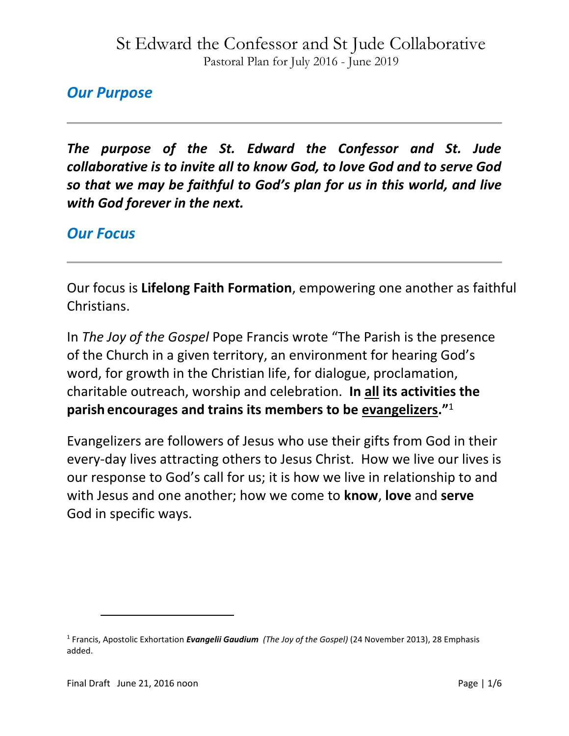### *Our Purpose*

*The purpose of the St. Edward the Confessor and St. Jude collaborative is to invite all to know God, to love God and to serve God so that we may be faithful to God's plan for us in this world, and live with God forever in the next.*

### *Our Focus*

Our focus is **Lifelong Faith Formation**, empowering one another as faithful Christians.

In *The Joy of the Gospel* Pope Francis wrote "The Parish is the presence of the Church in a given territory, an environment for hearing God's word, for growth in the Christian life, for dialogue, proclamation, charitable outreach, worship and celebration. **In all its activities the parish encourages and trains its members to be evangelizers."**<sup>1</sup>

Evangelizers are followers of Jesus who use their gifts from God in their every-day lives attracting others to Jesus Christ. How we live our lives is our response to God's call for us; it is how we live in relationship to and with Jesus and one another; how we come to **know**, **love** and **serve** God in specific ways.

 $\overline{\phantom{a}}$ 

<sup>1</sup> Francis, Apostolic Exhortation *Evangelii Gaudium (The Joy of the Gospel)* (24 November 2013), 28 Emphasis added.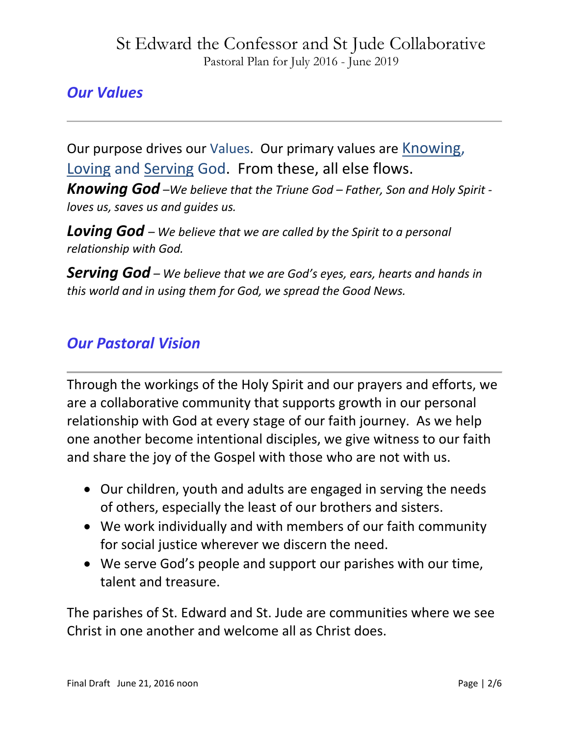## *Our Values*

Our purpose drives our Values. Our primary values are Knowing, Loving and Serving God. From these, all else flows.

*Knowing God –We believe that the Triune God – Father, Son and Holy Spirit loves us, saves us and guides us.*

*Loving God – We believe that we are called by the Spirit to a personal relationship with God.*

*Serving God – We believe that we are God's eyes, ears, hearts and hands in this world and in using them for God, we spread the Good News.*

### *Our Pastoral Vision*

Through the workings of the Holy Spirit and our prayers and efforts, we are a collaborative community that supports growth in our personal relationship with God at every stage of our faith journey. As we help one another become intentional disciples, we give witness to our faith and share the joy of the Gospel with those who are not with us.

- Our children, youth and adults are engaged in serving the needs of others, especially the least of our brothers and sisters.
- We work individually and with members of our faith community for social justice wherever we discern the need.
- We serve God's people and support our parishes with our time, talent and treasure.

The parishes of St. Edward and St. Jude are communities where we see Christ in one another and welcome all as Christ does.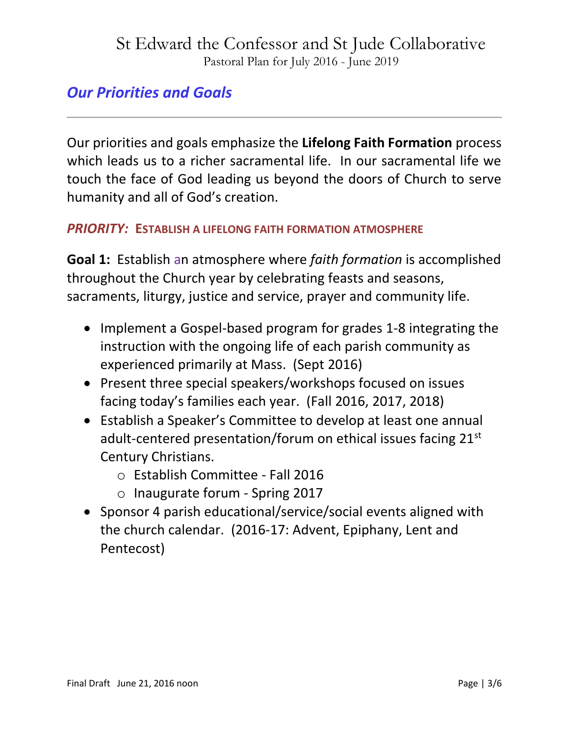### *Our Priorities and Goals*

Our priorities and goals emphasize the **Lifelong Faith Formation** process which leads us to a richer sacramental life. In our sacramental life we touch the face of God leading us beyond the doors of Church to serve humanity and all of God's creation.

#### *PRIORITY:* **ESTABLISH A LIFELONG FAITH FORMATION ATMOSPHERE**

**Goal 1:** Establish an atmosphere where *faith formation* is accomplished throughout the Church year by celebrating feasts and seasons, sacraments, liturgy, justice and service, prayer and community life.

- Implement a Gospel-based program for grades 1-8 integrating the instruction with the ongoing life of each parish community as experienced primarily at Mass. (Sept 2016)
- Present three special speakers/workshops focused on issues facing today's families each year. (Fall 2016, 2017, 2018)
- Establish a Speaker's Committee to develop at least one annual adult-centered presentation/forum on ethical issues facing 21<sup>st</sup> Century Christians.
	- o Establish Committee Fall 2016
	- o Inaugurate forum Spring 2017
- Sponsor 4 parish educational/service/social events aligned with the church calendar. (2016-17: Advent, Epiphany, Lent and Pentecost)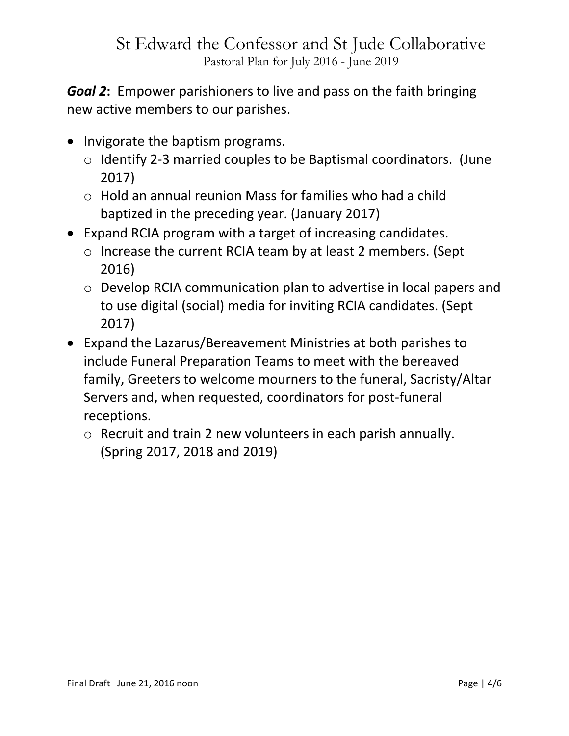*Goal 2***:** Empower parishioners to live and pass on the faith bringing new active members to our parishes.

- Invigorate the baptism programs.
	- o Identify 2-3 married couples to be Baptismal coordinators. (June 2017)
	- o Hold an annual reunion Mass for families who had a child baptized in the preceding year. (January 2017)
- Expand RCIA program with a target of increasing candidates.
	- o Increase the current RCIA team by at least 2 members. (Sept 2016)
	- o Develop RCIA communication plan to advertise in local papers and to use digital (social) media for inviting RCIA candidates. (Sept 2017)
- Expand the Lazarus/Bereavement Ministries at both parishes to include Funeral Preparation Teams to meet with the bereaved family, Greeters to welcome mourners to the funeral, Sacristy/Altar Servers and, when requested, coordinators for post-funeral receptions.
	- o Recruit and train 2 new volunteers in each parish annually. (Spring 2017, 2018 and 2019)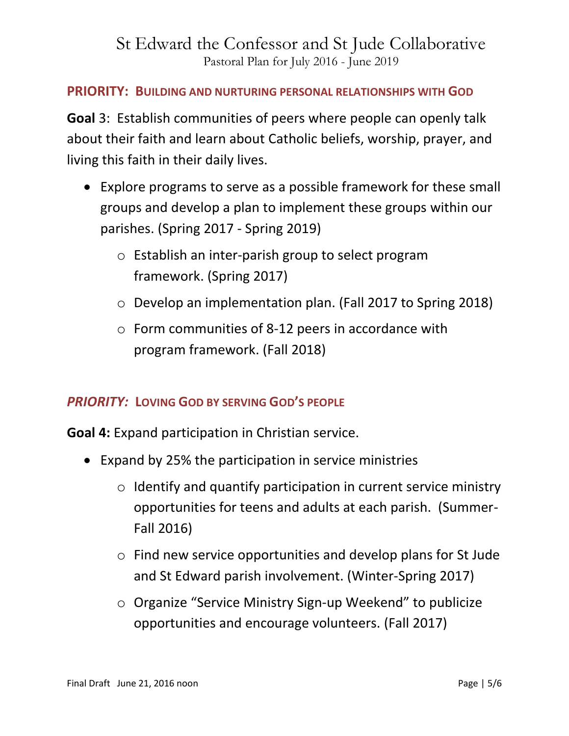#### **PRIORITY: BUILDING AND NURTURING PERSONAL RELATIONSHIPS WITH GOD**

**Goal** 3: Establish communities of peers where people can openly talk about their faith and learn about Catholic beliefs, worship, prayer, and living this faith in their daily lives.

- Explore programs to serve as a possible framework for these small groups and develop a plan to implement these groups within our parishes. (Spring 2017 - Spring 2019)
	- o Establish an inter-parish group to select program framework. (Spring 2017)
	- o Develop an implementation plan. (Fall 2017 to Spring 2018)
	- o Form communities of 8-12 peers in accordance with program framework. (Fall 2018)

#### *PRIORITY:* **LOVING GOD BY SERVING GOD'S PEOPLE**

**Goal 4:** Expand participation in Christian service.

- Expand by 25% the participation in service ministries
	- o Identify and quantify participation in current service ministry opportunities for teens and adults at each parish. (Summer-Fall 2016)
	- o Find new service opportunities and develop plans for St Jude and St Edward parish involvement. (Winter-Spring 2017)
	- o Organize "Service Ministry Sign-up Weekend" to publicize opportunities and encourage volunteers. (Fall 2017)